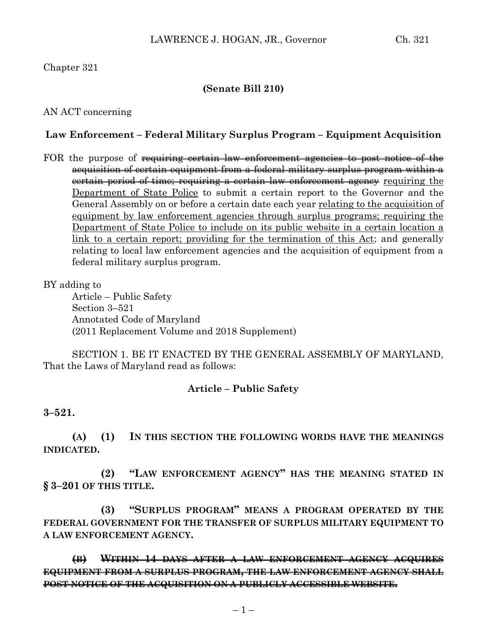## Chapter 321

### **(Senate Bill 210)**

### AN ACT concerning

#### **Law Enforcement – Federal Military Surplus Program – Equipment Acquisition**

FOR the purpose of requiring certain law enforcement agencies to post notice of the acquisition of certain equipment from a federal military surplus program within a certain period of time; requiring a certain law enforcement agency requiring the Department of State Police to submit a certain report to the Governor and the General Assembly on or before a certain date each year relating to the acquisition of equipment by law enforcement agencies through surplus programs; requiring the Department of State Police to include on its public website in a certain location a link to a certain report; providing for the termination of this Act; and generally relating to local law enforcement agencies and the acquisition of equipment from a federal military surplus program.

BY adding to

Article – Public Safety Section 3–521 Annotated Code of Maryland (2011 Replacement Volume and 2018 Supplement)

SECTION 1. BE IT ENACTED BY THE GENERAL ASSEMBLY OF MARYLAND, That the Laws of Maryland read as follows:

#### **Article – Public Safety**

**3–521.**

**(A) (1) IN THIS SECTION THE FOLLOWING WORDS HAVE THE MEANINGS INDICATED.**

**(2) "LAW ENFORCEMENT AGENCY" HAS THE MEANING STATED IN § 3–201 OF THIS TITLE.**

**(3) "SURPLUS PROGRAM" MEANS A PROGRAM OPERATED BY THE FEDERAL GOVERNMENT FOR THE TRANSFER OF SURPLUS MILITARY EQUIPMENT TO A LAW ENFORCEMENT AGENCY.**

**(B) WITHIN 14 DAYS AFTER A LAW ENFORCEMENT AGENCY ACQUIRES EQUIPMENT FROM A SURPLUS PROGRAM, THE LAW ENFORCEMENT AGENCY SHALL POST NOTICE OF THE ACQUISITION ON A PUBLICLY ACCESSIBLE WEBSITE.**